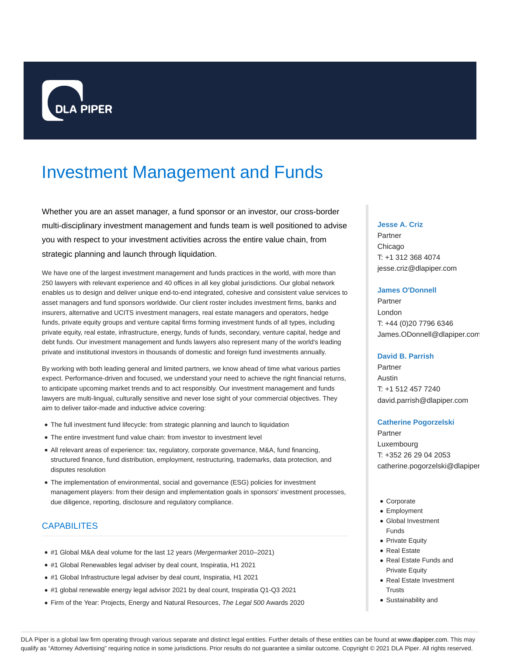

# Investment Management and Funds

Whether you are an asset manager, a fund sponsor or an investor, our cross-border multi-disciplinary investment management and funds team is well positioned to advise you with respect to your investment activities across the entire value chain, from strategic planning and launch through liquidation.

We have one of the largest investment management and funds practices in the world, with more than 250 lawyers with relevant experience and 40 offices in all key global jurisdictions. Our global network enables us to design and deliver unique end-to-end integrated, cohesive and consistent value services to asset managers and fund sponsors worldwide. Our client roster includes investment firms, banks and insurers, alternative and UCITS investment managers, real estate managers and operators, hedge funds, private equity groups and venture capital firms forming investment funds of all types, including private equity, real estate, infrastructure, energy, funds of funds, secondary, venture capital, hedge and debt funds. Our investment management and funds lawyers also represent many of the world's leading private and institutional investors in thousands of domestic and foreign fund investments annually.

By working with both leading general and limited partners, we know ahead of time what various parties expect. Performance-driven and focused, we understand your need to achieve the right financial returns, to anticipate upcoming market trends and to act responsibly. Our investment management and funds lawyers are multi-lingual, culturally sensitive and never lose sight of your commercial objectives. They aim to deliver tailor-made and inductive advice covering:

- The full investment fund lifecycle: from strategic planning and launch to liquidation
- The entire investment fund value chain: from investor to investment level
- All relevant areas of experience: tax, regulatory, corporate governance, M&A, fund financing, structured finance, fund distribution, employment, restructuring, trademarks, data protection, and disputes resolution
- The implementation of environmental, social and governance (ESG) policies for investment management players: from their design and implementation goals in sponsors' investment processes, due diligence, reporting, disclosure and regulatory compliance.

# CAPABILITES

- #1 Global M&A deal volume for the last 12 years (Mergermarket 2010–2021)
- #1 Global Renewables legal adviser by deal count, Inspiratia, H1 2021
- #1 Global Infrastructure legal adviser by deal count, Inspiratia, H1 2021
- #1 global renewable energy legal advisor 2021 by deal count, Inspiratia Q1-Q3 2021
- Firm of the Year: Projects, Energy and Natural Resources, The Legal 500 Awards 2020

#### **Jesse A. Criz**

Partner Chicago T: +1 312 368 4074 jesse.criz@dlapiper.com

#### **James O'Donnell**

Partner London T: +44 (0)20 7796 6346 James.ODonnell@dlapiper.com

## **David B. Parrish**

Partner Austin T: +1 512 457 7240 david.parrish@dlapiper.com

#### **Catherine Pogorzelski**

Partner Luxembourg T: +352 26 29 04 2053 catherine.pogorzelski@dlapiper

- Corporate
- Employment
- Global Investment Funds
- Private Equity
- Real Estate
- Real Estate Funds and Private Equity
- Real Estate Investment **Trusts**
- Sustainability and

DLA Piper is a global law firm operating through various separate and distinct legal entities. Further details of these entities can be found at www.dlapiper.com. This may qualify as "Attorney Advertising" requiring notice in some jurisdictions. Prior results do not guarantee a similar outcome. Copyright @ 2021 DLA Piper. All rights reserved.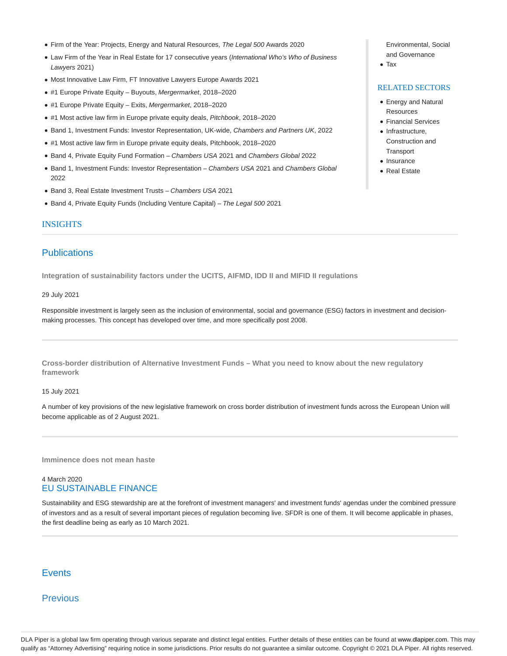- Firm of the Year: Projects, Energy and Natural Resources, The Legal 500 Awards 2020
- Law Firm of the Year in Real Estate for 17 consecutive years (International Who's Who of Business Lawyers 2021)
- Most Innovative Law Firm, FT Innovative Lawyers Europe Awards 2021
- #1 Europe Private Equity Buyouts, Mergermarket, 2018–2020
- #1 Europe Private Equity Exits, Mergermarket, 2018–2020
- #1 Most active law firm in Europe private equity deals, Pitchbook, 2018–2020
- **Band 1, Investment Funds: Investor Representation, UK-wide, Chambers and Partners UK, 2022**
- #1 Most active law firm in Europe private equity deals, Pitchbook, 2018–2020
- Band 4, Private Equity Fund Formation Chambers USA 2021 and Chambers Global 2022
- Band 1, Investment Funds: Investor Representation Chambers USA 2021 and Chambers Global 2022
- Band 3, Real Estate Investment Trusts Chambers USA 2021
- Band 4, Private Equity Funds (Including Venture Capital) The Legal 500 2021

#### INSIGHTS

# **Publications**

**Integration of sustainability factors under the UCITS, AIFMD, IDD II and MIFID II regulations**

#### 29 July 2021

Responsible investment is largely seen as the inclusion of environmental, social and governance (ESG) factors in investment and decisionmaking processes. This concept has developed over time, and more specifically post 2008.

**Cross-border distribution of Alternative Investment Funds – What you need to know about the new regulatory framework**

#### 15 July 2021

A number of key provisions of the new legislative framework on cross border distribution of investment funds across the European Union will become applicable as of 2 August 2021.

**Imminence does not mean haste**

## 4 March 2020 EU SUSTAINABLE FINANCE

Sustainability and ESG stewardship are at the forefront of investment managers' and investment funds' agendas under the combined pressure of investors and as a result of several important pieces of regulation becoming live. SFDR is one of them. It will become applicable in phases, the first deadline being as early as 10 March 2021.

## **Events**

# **Previous**

Environmental, Social and Governance

Tax

## RELATED SECTORS

- Energy and Natural **Resources**
- Financial Services • Infrastructure,
- Construction and **Transport**
- Insurance
- Real Estate

DLA Piper is a global law firm operating through various separate and distinct legal entities. Further details of these entities can be found at www.dlapiper.com. This may qualify as "Attorney Advertising" requiring notice in some jurisdictions. Prior results do not guarantee a similar outcome. Copyright @ 2021 DLA Piper. All rights reserved.